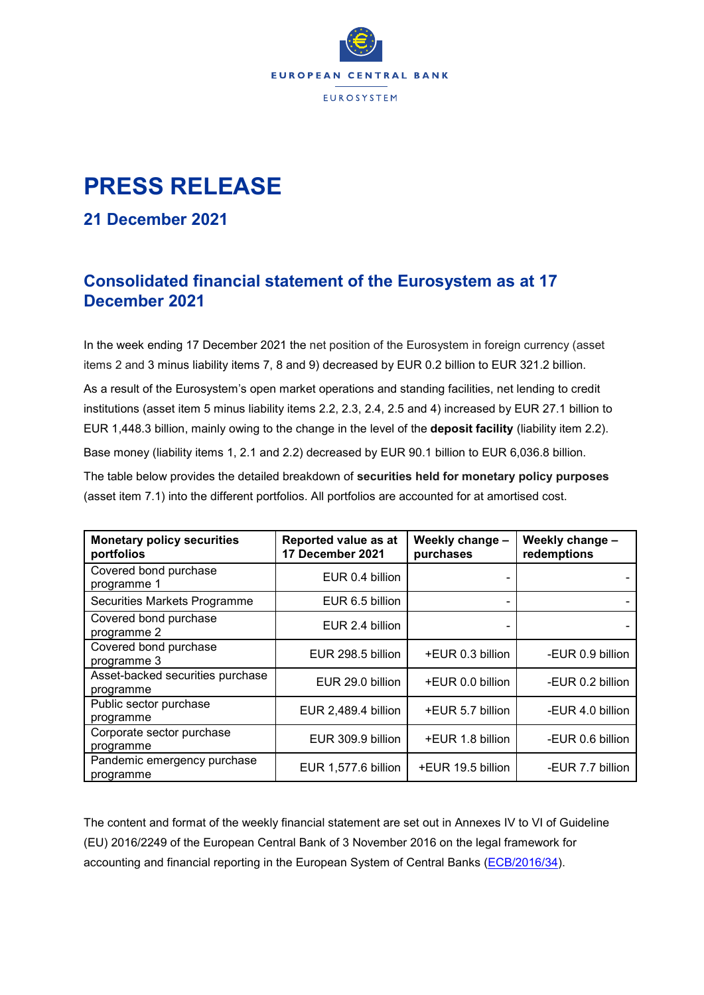

## **PRESS RELEASE**

## **21 December 2021**

## **Consolidated financial statement of the Eurosystem as at 17 December 2021**

In the week ending 17 December 2021 the net position of the Eurosystem in foreign currency (asset items 2 and 3 minus liability items 7, 8 and 9) decreased by EUR 0.2 billion to EUR 321.2 billion.

As a result of the Eurosystem's open market operations and standing facilities, net lending to credit institutions (asset item 5 minus liability items 2.2, 2.3, 2.4, 2.5 and 4) increased by EUR 27.1 billion to EUR 1,448.3 billion, mainly owing to the change in the level of the **deposit facility** (liability item 2.2). Base money (liability items 1, 2.1 and 2.2) decreased by EUR 90.1 billion to EUR 6,036.8 billion. The table below provides the detailed breakdown of **securities held for monetary policy purposes** (asset item 7.1) into the different portfolios. All portfolios are accounted for at amortised cost.

| <b>Monetary policy securities</b><br>portfolios | Reported value as at<br>17 December 2021 | Weekly change -<br>purchases | Weekly change -<br>redemptions |  |
|-------------------------------------------------|------------------------------------------|------------------------------|--------------------------------|--|
| Covered bond purchase<br>programme 1            | EUR 0.4 billion                          |                              |                                |  |
| Securities Markets Programme                    | EUR 6.5 billion                          |                              |                                |  |
| Covered bond purchase<br>programme 2            | EUR 2.4 billion                          |                              |                                |  |
| Covered bond purchase<br>programme 3            | EUR 298.5 billion                        | +EUR 0.3 billion             | -EUR 0.9 billion               |  |
| Asset-backed securities purchase<br>programme   | EUR 29.0 billion                         | +EUR 0.0 billion             | -EUR 0.2 billion               |  |
| Public sector purchase<br>programme             | EUR 2,489.4 billion                      | +EUR 5.7 billion             | -EUR 4.0 billion               |  |
| Corporate sector purchase<br>programme          | EUR 309.9 billion                        | +EUR 1.8 billion             | -EUR 0.6 billion               |  |
| Pandemic emergency purchase<br>programme        | EUR 1,577.6 billion                      | +EUR 19.5 billion            | -EUR 7.7 billion               |  |

The content and format of the weekly financial statement are set out in Annexes IV to VI of Guideline (EU) 2016/2249 of the European Central Bank of 3 November 2016 on the legal framework for accounting and financial reporting in the European System of Central Banks [\(ECB/2016/34\)](https://eur-lex.europa.eu/legal-content/EN/TXT/?qid=1599130224518&uri=CELEX:32016O0034).